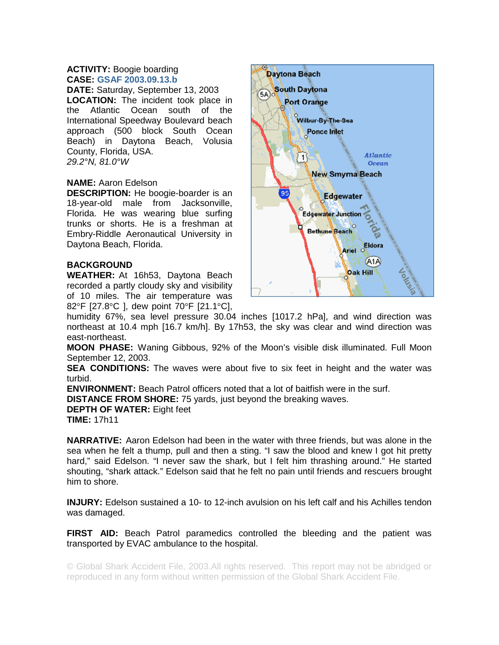## **ACTIVITY:** Boogie boarding **CASE: GSAF 2003.09.13.b**

**DATE:** Saturday, September 13, 2003 **LOCATION:** The incident took place in the Atlantic Ocean south of the International Speedway Boulevard beach approach (500 block South Ocean Beach) in Daytona Beach, Volusia County, Florida, USA. *29.2°N, 81.0°W* 

## **NAME:** Aaron Edelson

**DESCRIPTION:** He boogie-boarder is an 18-year-old male from Jacksonville, Florida. He was wearing blue surfing trunks or shorts. He is a freshman at Embry-Riddle Aeronautical University in Daytona Beach, Florida.

## **BACKGROUND**

**WEATHER:** At 16h53, Daytona Beach recorded a partly cloudy sky and visibility of 10 miles. The air temperature was 82°F [27.8°C ], dew point 70°F [21.1°C],



humidity 67%, sea level pressure 30.04 inches [1017.2 hPa], and wind direction was northeast at 10.4 mph [16.7 km/h]. By 17h53, the sky was clear and wind direction was east-northeast.

**MOON PHASE:** Waning Gibbous, 92% of the Moon's visible disk illuminated. Full Moon September 12, 2003.

**SEA CONDITIONS:** The waves were about five to six feet in height and the water was turbid.

**ENVIRONMENT:** Beach Patrol officers noted that a lot of baitfish were in the surf.

**DISTANCE FROM SHORE:** 75 yards, just beyond the breaking waves.

**DEPTH OF WATER:** Eight feet

**TIME:** 17h11

**NARRATIVE:** Aaron Edelson had been in the water with three friends, but was alone in the sea when he felt a thump, pull and then a sting. "I saw the blood and knew I got hit pretty hard," said Edelson. "I never saw the shark, but I felt him thrashing around." He started shouting, "shark attack." Edelson said that he felt no pain until friends and rescuers brought him to shore.

**INJURY:** Edelson sustained a 10- to 12-inch avulsion on his left calf and his Achilles tendon was damaged.

**FIRST AID:** Beach Patrol paramedics controlled the bleeding and the patient was transported by EVAC ambulance to the hospital.

© Global Shark Accident File, 2003.All rights reserved. This report may not be abridged or reproduced in any form without written permission of the Global Shark Accident File.